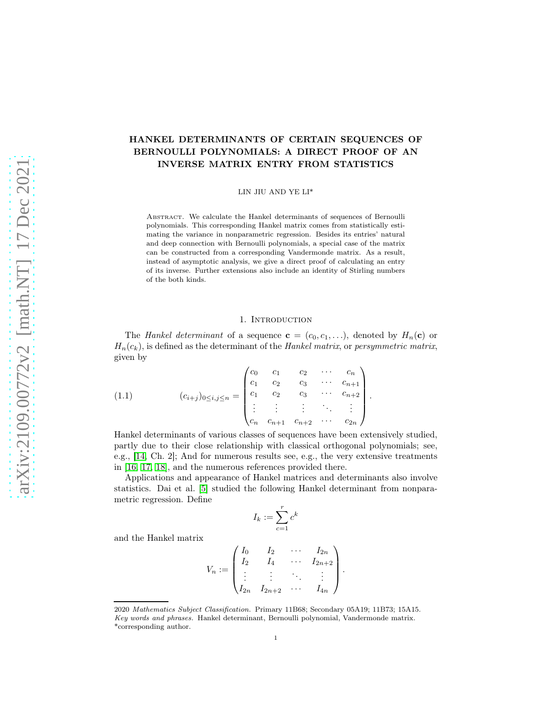# HANKEL DETERMINANTS OF CERTAIN SEQUENCES OF BERNOULLI POLYNOMIALS: A DIRECT PROOF OF AN INVERSE MATRIX ENTRY FROM STATISTICS

LIN JIU AND YE LI\*

ABSTRACT. We calculate the Hankel determinants of sequences of Bernoulli polynomials. This corresponding Hankel matrix comes from statistically estimating the variance in nonparametric regression. Besides its entries' natural and deep connection with Bernoulli polynomials, a special case of the matrix can be constructed from a corresponding Vandermonde matrix. As a result, instead of asymptotic analysis, we give a direct proof of calculating an entry of its inverse. Further extensions also include an identity of Stirling numbers of the both kinds.

### 1. INTRODUCTION

The Hankel determinant of a sequence  $\mathbf{c} = (c_0, c_1, \ldots)$ , denoted by  $H_n(\mathbf{c})$  or  $H_n(c_k)$ , is defined as the determinant of the Hankel matrix, or persymmetric matrix, given by

(1.1) 
$$
(c_{i+j})_{0 \le i,j \le n} = \begin{pmatrix} c_0 & c_1 & c_2 & \cdots & c_n \\ c_1 & c_2 & c_3 & \cdots & c_{n+1} \\ c_1 & c_2 & c_3 & \cdots & c_{n+2} \\ \vdots & \vdots & \vdots & \ddots & \vdots \\ c_n & c_{n+1} & c_{n+2} & \cdots & c_{2n} \end{pmatrix}.
$$

Hankel determinants of various classes of sequences have been extensively studied, partly due to their close relationship with classical orthogonal polynomials; see, e.g., [\[14,](#page-17-0) Ch. 2]; And for numerous results see, e.g., the very extensive treatments in [\[16,](#page-17-1) [17,](#page-17-2) [18\]](#page-17-3), and the numerous references provided there.

Applications and appearance of Hankel matrices and determinants also involve statistics. Dai et al. [\[5\]](#page-16-0) studied the following Hankel determinant from nonparametric regression. Define

$$
I_k := \sum_{c=1}^r c^k
$$

and the Hankel matrix

$$
V_n := \begin{pmatrix} I_0 & I_2 & \cdots & I_{2n} \\ I_2 & I_4 & \cdots & I_{2n+2} \\ \vdots & \vdots & \ddots & \vdots \\ I_{2n} & I_{2n+2} & \cdots & I_{4n} \end{pmatrix}
$$

.

<sup>2020</sup> Mathematics Subject Classification. Primary 11B68; Secondary 05A19; 11B73; 15A15. Key words and phrases. Hankel determinant, Bernoulli polynomial, Vandermonde matrix. \*corresponding author.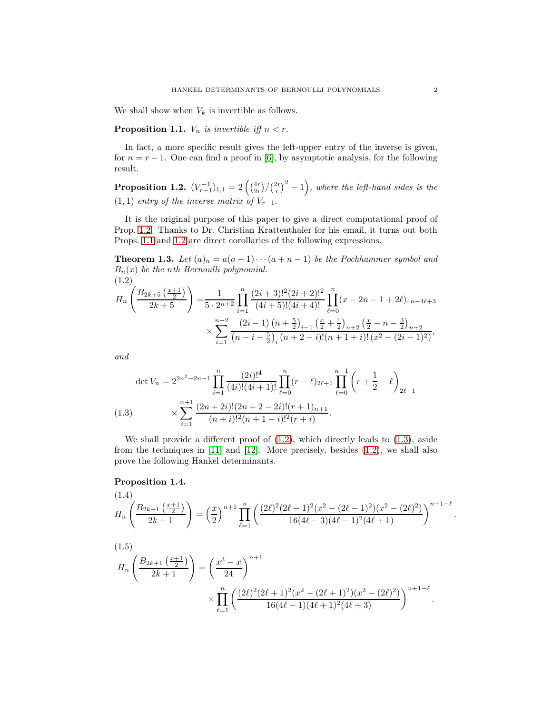We shall show when  $V_k$  is invertible as follows.

<span id="page-1-1"></span>**Proposition 1.1.**  $V_n$  is invertible iff  $n < r$ .

In fact, a more specific result gives the left-upper entry of the inverse is given, for  $n = r - 1$ . One can find a proof in [\[6\]](#page-16-1), by asymptotic analysis, for the following result.

<span id="page-1-0"></span>**Proposition 1.2.**  $(V_{r-1}^{-1})_{1,1} = 2\left(\frac{4r}{2r}/\left(\frac{2r}{r}\right)^2 - 1\right)$ , where the left-hand sides is the  $(1, 1)$  entry of the inverse matrix of  $V_{r-1}$ .

It is the original purpose of this paper to give a direct computational proof of Prop. [1.2.](#page-1-0) Thanks to Dr. Christian Krattenthaler for his email, it turns out both Props. [1.1](#page-1-1) and [1.2](#page-1-0) are direct corollaries of the following expressions.

**Theorem 1.3.** Let  $(a)_n = a(a+1)\cdots(a+n-1)$  be the Pochhammer symbol and  $B_n(x)$  be the nth Bernoulli polynomial. (1.2)

<span id="page-1-2"></span>
$$
H_n\left(\frac{B_{2k+5}\left(\frac{x+1}{2}\right)}{2k+5}\right) = \frac{1}{5 \cdot 2^{n+2}} \prod_{i=1}^n \frac{(2i+3)!^2 (2i+2)!^2}{(4i+5)!(4i+4)!} \prod_{\ell=0}^n (x - 2n - 1 + 2\ell)_{4n-4\ell+3}
$$

$$
\times \sum_{i=1}^{n+2} \frac{(2i-1) \left(n + \frac{5}{2}\right)_{i-1} \left(\frac{x}{2} + \frac{1}{2}\right)_{n+2} \left(\frac{x}{2} - n - \frac{3}{2}\right)_{n+2}}{\left(n - i + \frac{5}{2}\right)_i (n + 2 - i)!(n + 1 + i)!(x^2 - (2i - 1)^2)},
$$

and

$$
\det V_n = 2^{2n^2 - 2n - 1} \prod_{i=1}^n \frac{(2i)!^4}{(4i)!(4i+1)!} \prod_{\ell=0}^n (r - \ell)_{2\ell+1} \prod_{\ell=0}^{n-1} \left( r + \frac{1}{2} - \ell \right)_{2\ell+1}
$$
\n
$$
(1.3) \qquad \qquad \times \sum_{i=1}^{n+1} \frac{(2n+2i)!(2n+2-2i)!(r+1)_{n+1}}{(n+i)!^2(n+1-i)!^2(r+i)}.
$$

<span id="page-1-3"></span>We shall provide a different proof of  $(1.2)$ , which directly leads to  $(1.3)$ , aside from the techniques in [\[11\]](#page-16-2) and [\[12\]](#page-16-3). More precisely, besides [\(1.2\)](#page-1-2), we shall also prove the following Hankel determinants.

### Proposition 1.4.

<span id="page-1-5"></span><span id="page-1-4"></span>
$$
(1.4)
$$
\n
$$
H_n\left(\frac{B_{2k+1}\left(\frac{x+1}{2}\right)}{2k+1}\right) = \left(\frac{x}{2}\right)^{n+1} \prod_{\ell=1}^n \left(\frac{(2\ell)^2 (2\ell-1)^2 (x^2-(2\ell-1)^2)(x^2-(2\ell)^2)}{16(4\ell-3)(4\ell-1)^2(4\ell+1)}\right)^{n+1-\ell}
$$
\n
$$
(1.5)
$$
\n
$$
H_n\left(\frac{B_{2k+1}\left(\frac{x+1}{2}\right)}{2k+1}\right) = \left(\frac{x^3-x}{24}\right)^{n+1}
$$
\n
$$
\times \prod_{\ell=1}^n \left(\frac{(2\ell)^2 (2\ell+1)^2 (x^2-(2\ell+1)^2)(x^2-(2\ell)^2)}{16(4\ell-1)(4\ell+1)^2(4\ell+3)}\right)^{n+1-\ell}.
$$

.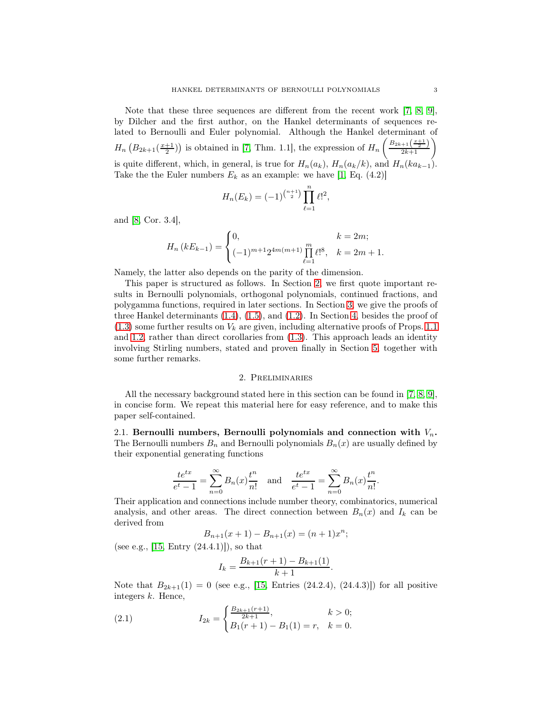Note that these three sequences are different from the recent work [\[7,](#page-16-4) [8,](#page-16-5) [9\]](#page-16-6), by Dilcher and the first author, on the Hankel determinants of sequences related to Bernoulli and Euler polynomial. Although the Hankel determinant of  $H_n\left(B_{2k+1}\left(\frac{x+1}{2}\right)\right)$  is obtained in [\[7,](#page-16-4) Thm. 1.1], the expression of  $H_n\left(\frac{B_{2k+1}\left(\frac{x+1}{2}\right)}{2k+1}\right)$ is quite different, which, in general, is true for  $H_n(a_k)$ ,  $H_n(a_k/k)$ , and  $H_n(ka_{k-1})$ . Take the the Euler numbers  $E_k$  as an example: we have [\[1,](#page-16-7) Eq. (4.2)]

$$
H_n(E_k) = (-1)^{\binom{n+1}{2}} \prod_{\ell=1}^n \ell!^2,
$$

and [\[8,](#page-16-5) Cor. 3.4],

$$
H_n (kE_{k-1}) = \begin{cases} 0, & k = 2m; \\ (-1)^{m+1} 2^{4m(m+1)} \prod_{\ell=1}^m \ell!^8, & k = 2m+1. \end{cases}
$$

Namely, the latter also depends on the parity of the dimension.

This paper is structured as follows. In Section [2,](#page-2-0) we first quote important results in Bernoulli polynomials, orthogonal polynomials, continued fractions, and polygamma functions, required in later sections. In Section [3,](#page-6-0) we give the proofs of three Hankel determinants [\(1.4\)](#page-1-4), [\(1.5\)](#page-1-5), and [\(1.2\)](#page-1-2). In Section [4,](#page-12-0) besides the proof of  $(1.3)$  some further results on  $V_k$  are given, including alternative proofs of Props. [1.1](#page-1-1) and [1.2,](#page-1-0) rather than direct corollaries from [\(1.3\)](#page-1-3). This approach leads an identity involving Stirling numbers, stated and proven finally in Section [5,](#page-14-0) together with some further remarks.

#### 2. Preliminaries

<span id="page-2-0"></span>All the necessary background stated here in this section can be found in [\[7,](#page-16-4) [8,](#page-16-5) [9\]](#page-16-6), in concise form. We repeat this material here for easy reference, and to make this paper self-contained.

2.1. Bernoulli numbers, Bernoulli polynomials and connection with  $V_n$ . The Bernoulli numbers  $B_n$  and Bernoulli polynomials  $B_n(x)$  are usually defined by their exponential generating functions

$$
\frac{te^{tx}}{e^t - 1} = \sum_{n=0}^{\infty} B_n(x) \frac{t^n}{n!} \quad \text{and} \quad \frac{te^{tx}}{e^t - 1} = \sum_{n=0}^{\infty} B_n(x) \frac{t^n}{n!}.
$$

Their application and connections include number theory, combinatorics, numerical analysis, and other areas. The direct connection between  $B_n(x)$  and  $I_k$  can be derived from

$$
B_{n+1}(x+1) - B_{n+1}(x) = (n+1)x^{n};
$$

(see e.g.,  $[15, Entry (24.4.1)]$ ), so that

<span id="page-2-1"></span>
$$
I_k = \frac{B_{k+1}(r+1) - B_{k+1}(1)}{k+1}
$$

.

Note that  $B_{2k+1}(1) = 0$  (see e.g., [\[15,](#page-17-4) Entries (24.2.4), (24.4.3)]) for all positive integers k. Hence,

(2.1) 
$$
I_{2k} = \begin{cases} \frac{B_{2k+1}(r+1)}{2k+1}, & k > 0; \\ B_1(r+1) - B_1(1) = r, & k = 0. \end{cases}
$$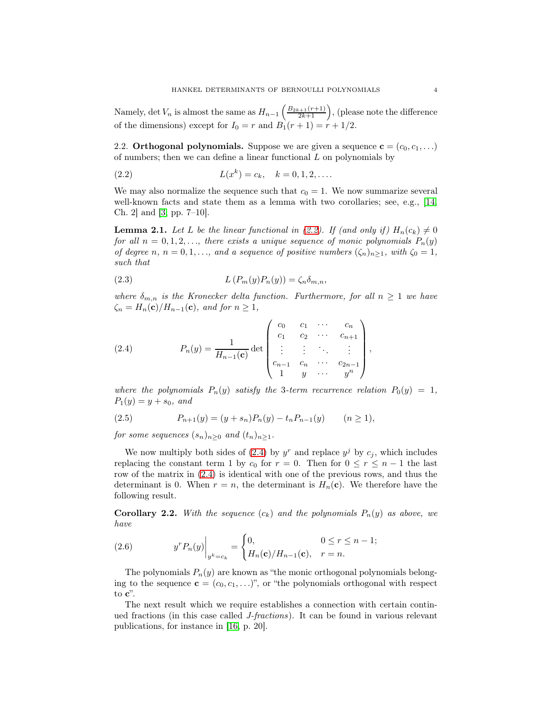Namely, det  $V_n$  is almost the same as  $H_{n-1}\left(\frac{B_{2k+1}(r+1)}{2k+1}\right)$ , (please note the difference of the dimensions) except for  $I_0 = r$  and  $B_1(r + 1) = r + 1/2$ .

2.2. Orthogonal polynomials. Suppose we are given a sequence  $\mathbf{c} = (c_0, c_1, \ldots)$ of numbers; then we can define a linear functional  $L$  on polynomials by

<span id="page-3-0"></span>(2.2) 
$$
L(x^k) = c_k, \quad k = 0, 1, 2, ....
$$

We may also normalize the sequence such that  $c_0 = 1$ . We now summarize several well-known facts and state them as a lemma with two corollaries; see, e.g., [\[14,](#page-17-0) Ch. 2] and [\[3,](#page-16-8) pp. 7–10].

**Lemma 2.1.** Let L be the linear functional in [\(2.2\)](#page-3-0). If (and only if)  $H_n(c_k) \neq 0$ for all  $n = 0, 1, 2, \ldots$ , there exists a unique sequence of monic polynomials  $P_n(y)$ of degree n,  $n = 0, 1, \ldots$ , and a sequence of positive numbers  $(\zeta_n)_{n \geq 1}$ , with  $\zeta_0 = 1$ , such that

(2.3) 
$$
L(P_m(y)P_n(y)) = \zeta_n \delta_{m,n},
$$

where  $\delta_{m,n}$  is the Kronecker delta function. Furthermore, for all  $n \geq 1$  we have  $\zeta_n = H_n(\mathbf{c})/H_{n-1}(\mathbf{c}),$  and for  $n \geq 1$ ,

<span id="page-3-1"></span>(2.4) 
$$
P_n(y) = \frac{1}{H_{n-1}(\mathbf{c})} \det \begin{pmatrix} c_0 & c_1 & \cdots & c_n \\ c_1 & c_2 & \cdots & c_{n+1} \\ \vdots & \vdots & \ddots & \vdots \\ c_{n-1} & c_n & \cdots & c_{2n-1} \\ 1 & y & \cdots & y^n \end{pmatrix},
$$

where the polynomials  $P_n(y)$  satisfy the 3-term recurrence relation  $P_0(y) = 1$ ,  $P_1(y) = y + s_0$ , and

<span id="page-3-2"></span>(2.5) 
$$
P_{n+1}(y) = (y + s_n)P_n(y) - t_n P_{n-1}(y) \qquad (n \ge 1),
$$

for some sequences  $(s_n)_{n>0}$  and  $(t_n)_{n>1}$ .

We now multiply both sides of [\(2.4\)](#page-3-1) by  $y^r$  and replace  $y^j$  by  $c_j$ , which includes replacing the constant term 1 by  $c_0$  for  $r = 0$ . Then for  $0 \le r \le n - 1$  the last row of the matrix in [\(2.4\)](#page-3-1) is identical with one of the previous rows, and thus the determinant is 0. When  $r = n$ , the determinant is  $H_n(\mathbf{c})$ . We therefore have the following result.

**Corollary 2.2.** With the sequence  $(c_k)$  and the polynomials  $P_n(y)$  as above, we have

(2.6) 
$$
y^{r} P_{n}(y)\Big|_{y^{k}=c_{k}} = \begin{cases} 0, & 0 \leq r \leq n-1; \\ H_{n}(\mathbf{c})/H_{n-1}(\mathbf{c}), & r = n. \end{cases}
$$

The polynomials  $P_n(y)$  are known as "the monic orthogonal polynomials belonging to the sequence  $\mathbf{c} = (c_0, c_1, \ldots)$ ", or "the polynomials orthogonal with respect to c".

The next result which we require establishes a connection with certain continued fractions (in this case called J-fractions). It can be found in various relevant publications, for instance in [\[16,](#page-17-1) p. 20].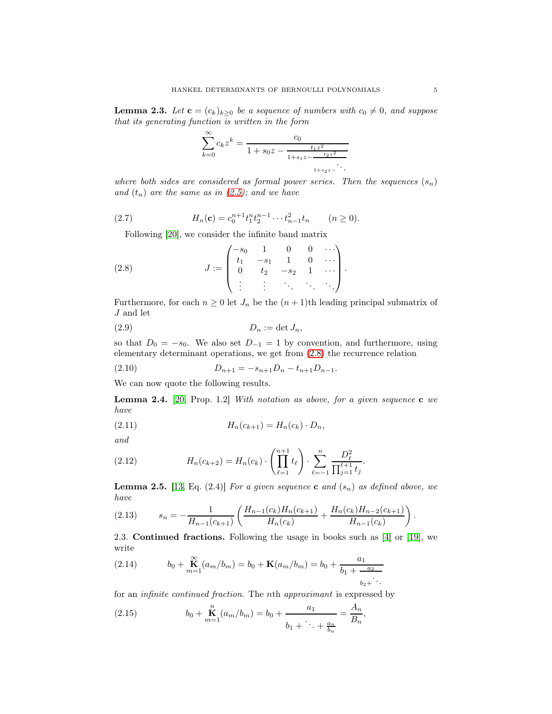<span id="page-4-3"></span>**Lemma 2.3.** Let  $\mathbf{c} = (c_k)_{k \geq 0}$  be a sequence of numbers with  $c_0 \neq 0$ , and suppose that its generating function is written in the form

$$
\sum_{k=0}^{\infty} c_k z^k = \frac{c_0}{1 + s_0 z - \frac{t_1 z^2}{1 + s_1 z - \frac{t_2 z^2}{1 + s_2 z - \dotsb}}}
$$

where both sides are considered as formal power series. Then the sequences  $(s_n)$ and  $(t_n)$  are the same as in  $(2.5)$ ; and we have

(2.7) 
$$
H_n(\mathbf{c}) = c_0^{n+1} t_1^n t_2^{n-1} \cdots t_{n-1}^2 t_n \qquad (n \ge 0).
$$

<span id="page-4-0"></span>Following [\[20\]](#page-17-5), we consider the infinite band matrix

(2.8) 
$$
J := \begin{pmatrix} -s_0 & 1 & 0 & 0 & \cdots \\ t_1 & -s_1 & 1 & 0 & \cdots \\ 0 & t_2 & -s_2 & 1 & \cdots \\ \vdots & \vdots & \ddots & \ddots & \ddots \end{pmatrix}.
$$

Furthermore, for each  $n \geq 0$  let  $J_n$  be the  $(n + 1)$ th leading principal submatrix of  ${\cal J}$  and let

$$
(2.9) \t\t D_n := \det J_n,
$$

so that  $D_0 = -s_0$ . We also set  $D_{-1} = 1$  by convention, and furthermore, using elementary determinant operations, we get from [\(2.8\)](#page-4-0) the recurrence relation

<span id="page-4-4"></span>(2.10) 
$$
D_{n+1} = -s_{n+1}D_n - t_{n+1}D_{n-1}.
$$

We can now quote the following results.

**Lemma 2.4.** [\[20,](#page-17-5) Prop. 1.2] With notation as above, for a given sequence  $\mathbf{c}$  we have

<span id="page-4-5"></span>(2.11) 
$$
H_n(c_{k+1}) = H_n(c_k) \cdot D_n,
$$

and

(2.12) 
$$
H_n(c_{k+2}) = H_n(c_k) \cdot \left(\prod_{\ell=1}^{n+1} t_{\ell}\right) \cdot \sum_{\ell=-1}^n \frac{D_{\ell}^2}{\prod_{j=1}^{\ell+1} t_j}.
$$

**Lemma 2.5.** [\[13,](#page-16-9) Eq. (2.4)] For a given sequence **c** and  $(s_n)$  as defined above, we have

(2.13) 
$$
s_n = -\frac{1}{H_{n-1}(c_{k+1})} \left( \frac{H_{n-1}(c_k)H_n(c_{k+1})}{H_n(c_k)} + \frac{H_n(c_k)H_{n-2}(c_{k+1})}{H_{n-1}(c_k)} \right).
$$

2.3. Continued fractions. Following the usage in books such as [\[4\]](#page-16-10) or [\[19\]](#page-17-6), we write

<span id="page-4-1"></span>(2.14) 
$$
b_0 + \mathbf{K}_{m=1}^{\infty} (a_m/b_m) = b_0 + \mathbf{K}(a_m/b_m) = b_0 + \frac{a_1}{b_1 + \frac{a_2}{b_2 + \ddots}}
$$

for an infinite continued fraction. The nth approximant is expressed by

<span id="page-4-2"></span>(2.15) 
$$
b_0 + \mathbf{K}_{m=1}^n (a_m/b_m) = b_0 + \frac{a_1}{b_1 + \cdots + \frac{a_n}{b_n}} = \frac{A_n}{B_n},
$$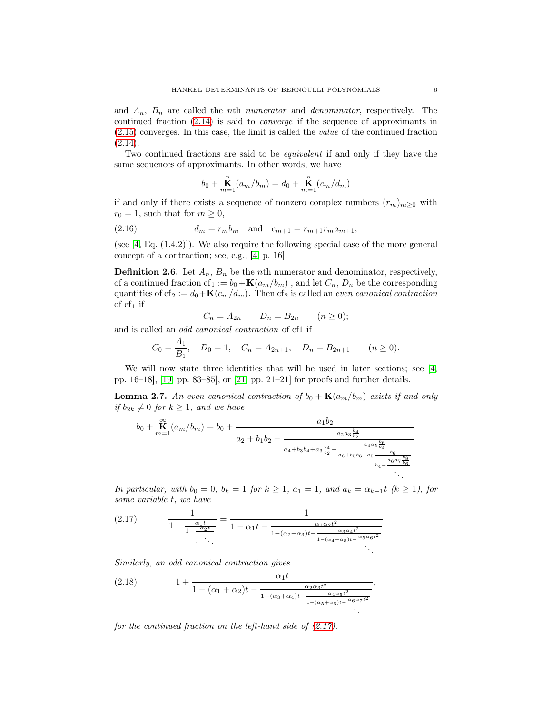and  $A_n$ ,  $B_n$  are called the *n*th *numerator* and *denominator*, respectively. The continued fraction [\(2.14\)](#page-4-1) is said to converge if the sequence of approximants in [\(2.15\)](#page-4-2) converges. In this case, the limit is called the value of the continued fraction  $(2.14).$  $(2.14).$ 

Two continued fractions are said to be equivalent if and only if they have the same sequences of approximants. In other words, we have

<span id="page-5-1"></span>
$$
b_0 + \mathop{\bf K}_{m=1}^n (a_m/b_m) = d_0 + \mathop{\bf K}_{m=1}^n (c_m/d_m)
$$

if and only if there exists a sequence of nonzero complex numbers  $(r_m)_{m\geq 0}$  with  $r_0 = 1$ , such that for  $m \geq 0$ ,

(2.16) 
$$
d_m = r_m b_m \text{ and } c_{m+1} = r_{m+1} r_m a_{m+1};
$$

(see [\[4,](#page-16-10) Eq. (1.4.2)]). We also require the following special case of the more general concept of a contraction; see, e.g., [\[4,](#page-16-10) p. 16].

**Definition 2.6.** Let  $A_n$ ,  $B_n$  be the *n*th numerator and denominator, respectively, of a continued fraction cf<sub>1</sub> :=  $b_0 + K(a_m/b_m)$ , and let  $C_n$ ,  $D_n$  be the corresponding quantities of cf<sub>2</sub> :=  $d_0 + K(c_m/d_m)$ . Then cf<sub>2</sub> is called an *even canonical contraction* of  $cf_1$  if

$$
C_n = A_{2n} \qquad D_n = B_{2n} \qquad (n \ge 0);
$$

and is called an odd canonical contraction of cf1 if

$$
C_0 = \frac{A_1}{B_1}
$$
,  $D_0 = 1$ ,  $C_n = A_{2n+1}$ ,  $D_n = B_{2n+1}$   $(n \ge 0)$ .

We will now state three identities that will be used in later sections; see [\[4,](#page-16-10)] pp. 16–18], [\[19,](#page-17-6) pp. 83–85], or [\[21,](#page-17-7) pp. 21–21] for proofs and further details.

**Lemma 2.7.** An even canonical contraction of  $b_0 + \mathbf{K}(a_m/b_m)$  exists if and only if  $b_{2k} \neq 0$  for  $k \geq 1$ , and we have

$$
b_0 + \mathop{\mathbf{K}}_{m=1}(a_m/b_m) = b_0 + \frac{a_1 b_2}{a_2 + b_1 b_2 - \frac{a_2 a_3 \frac{b_4}{b_2}}{a_4 + b_3 b_4 + a_3 \frac{b_4}{b_2} - \frac{a_4 a_5 \frac{b_6}{b_4}}{a_6 + b_5 b_6 + a_5 \frac{b_6}{b_4} - \frac{b_6}{a_6 a_7 \frac{b_8}{b_6}}}}}
$$

In particular, with  $b_0 = 0$ ,  $b_k = 1$  for  $k \ge 1$ ,  $a_1 = 1$ , and  $a_k = \alpha_{k-1}t$  ( $k \ge 1$ ), for some variable t, we have

,

<span id="page-5-0"></span>
$$
(2.17) \qquad \frac{1}{1 - \frac{\alpha_1 t}{1 - \frac{\alpha_2 t}{1 - \dots}}} = \frac{1}{1 - \alpha_1 t - \frac{\alpha_1 \alpha_2 t^2}{1 - (\alpha_2 + \alpha_3)t - \frac{\alpha_3 \alpha_4 t^2}{1 - (\alpha_4 + \alpha_5)t - \frac{\alpha_5 \alpha_6 t^2}{1 - \dots}}}}
$$

Similarly, an odd canonical contraction gives

<span id="page-5-2"></span>(2.18) 
$$
1 + \frac{\alpha_1 t}{1 - (\alpha_1 + \alpha_2)t - \frac{\alpha_2 \alpha_3 t^2}{1 - (\alpha_3 + \alpha_4)t - \frac{\alpha_4 \alpha_5 t^2}{1 - (\alpha_5 + \alpha_6)t - \frac{\alpha_6 \alpha_7 t^2}{1 - \alpha_5}}}}
$$

for the continued fraction on the left-hand side of  $(2.17)$ .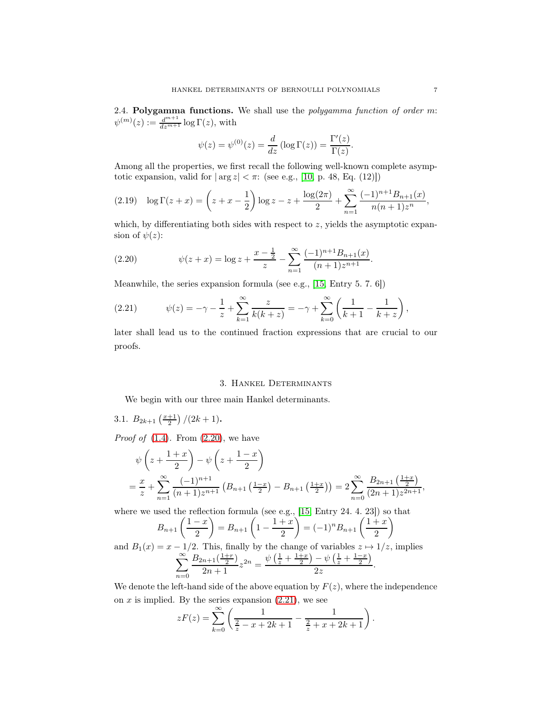2.4. Polygamma functions. We shall use the polygamma function of order m:  $\psi^{(m)}(z) := \frac{d^{m+1}}{dz^{m+1}} \log \Gamma(z)$ , with

$$
\psi(z) = \psi^{(0)}(z) = \frac{d}{dz} (\log \Gamma(z)) = \frac{\Gamma'(z)}{\Gamma(z)}.
$$

Among all the properties, we first recall the following well-known complete asymptotic expansion, valid for  $|\arg z| < \pi$ : (see e.g., [\[10,](#page-16-11) p. 48, Eq. (12)])

$$
(2.19) \quad \log \Gamma(z+x) = \left(z+x-\frac{1}{2}\right) \log z - z + \frac{\log(2\pi)}{2} + \sum_{n=1}^{\infty} \frac{(-1)^{n+1} B_{n+1}(x)}{n(n+1)z^n},
$$

which, by differentiating both sides with respect to  $z$ , yields the asymptotic expansion of  $\psi(z)$ :

<span id="page-6-1"></span>(2.20) 
$$
\psi(z+x) = \log z + \frac{x-\frac{1}{2}}{z} - \sum_{n=1}^{\infty} \frac{(-1)^{n+1} B_{n+1}(x)}{(n+1)z^{n+1}}.
$$

Meanwhile, the series expansion formula (see e.g., [\[15,](#page-17-4) Entry 5. 7. 6])

<span id="page-6-2"></span>(2.21) 
$$
\psi(z) = -\gamma - \frac{1}{z} + \sum_{k=1}^{\infty} \frac{z}{k(k+z)} = -\gamma + \sum_{k=0}^{\infty} \left( \frac{1}{k+1} - \frac{1}{k+z} \right),
$$

later shall lead us to the continued fraction expressions that are crucial to our proofs.

#### 3. Hankel Determinants

<span id="page-6-0"></span>We begin with our three main Hankel determinants.

3.1. 
$$
B_{2k+1}\left(\frac{x+1}{2}\right)/(2k+1)
$$
.

*Proof of*  $(1.4)$ . From  $(2.20)$ , we have

$$
\psi\left(z+\frac{1+x}{2}\right)-\psi\left(z+\frac{1-x}{2}\right)
$$
\n
$$
=\frac{x}{z}+\sum_{n=1}^{\infty}\frac{(-1)^{n+1}}{(n+1)z^{n+1}}\left(B_{n+1}\left(\frac{1-x}{2}\right)-B_{n+1}\left(\frac{1+x}{2}\right)\right)=2\sum_{n=0}^{\infty}\frac{B_{2n+1}\left(\frac{1+x}{2}\right)}{(2n+1)z^{2n+1}},
$$

where we used the reflection formula (see e.g., [\[15,](#page-17-4) Entry 24. 4. 23]) so that

$$
B_{n+1}\left(\frac{1-x}{2}\right) = B_{n+1}\left(1 - \frac{1+x}{2}\right) = (-1)^n B_{n+1}\left(\frac{1+x}{2}\right)
$$

and  $B_1(x) = x - 1/2$ . This, finally by the change of variables  $z \mapsto 1/z$ , implies  $\sum^{\infty}$  $n=0$  $B_{2n+1}(\frac{1+r}{2})$  $\frac{n+1\left(\frac{1+r}{2}\right)}{2n+1}z^{2n} = \frac{\psi\left(\frac{1}{z} + \frac{1+x}{2}\right) - \psi\left(\frac{1}{z} + \frac{1-x}{2}\right)}{2z}$  $\frac{z+2}{2z}.$ 

We denote the left-hand side of the above equation by  $F(z)$ , where the independence on  $x$  is implied. By the series expansion  $(2.21)$ , we see

$$
zF(z) = \sum_{k=0}^{\infty} \left( \frac{1}{\frac{2}{z} - x + 2k + 1} - \frac{1}{\frac{2}{z} + x + 2k + 1} \right).
$$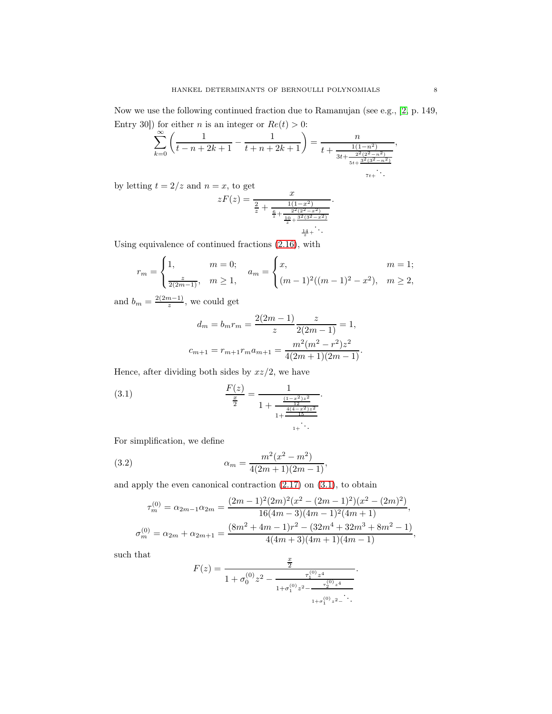Now we use the following continued fraction due to Ramanujan (see e.g., [\[2,](#page-16-12) p. 149, Entry 30]) for either *n* is an integer or  $Re(t) > 0$ :

$$
\sum_{k=0}^{\infty} \left( \frac{1}{t-n+2k+1} - \frac{1}{t+n+2k+1} \right) = \frac{n}{t+\frac{1(1-n^2)}{3t+\frac{2^2(2^2-n^2)}{5t+\frac{3^2(3^2-n^2)}{7t+\ddots}}}},
$$

by letting  $t = 2/z$  and  $n = x$ , to get

$$
zF(z) = \frac{x}{\frac{2}{z} + \frac{1(1-x^2)}{\frac{6}{z} + \frac{2^2(2^2-x^2)}{10 + \frac{3^2(3^2-x^2)}{z}}}.
$$

Using equivalence of continued fractions [\(2.16\)](#page-5-1), with

$$
r_m = \begin{cases} 1, & m = 0; \\ \frac{z}{2(2m-1)}, & m \ge 1, \end{cases} \quad a_m = \begin{cases} x, & m = 1; \\ (m-1)^2((m-1)^2 - x^2), & m \ge 2, \end{cases}
$$

and  $b_m = \frac{2(2m-1)}{z}$  $\frac{n-1}{z}$ , we could get

<span id="page-7-0"></span>
$$
d_m = b_m r_m = \frac{2(2m - 1)}{z} \frac{z}{2(2m - 1)} = 1,
$$
  

$$
c_{m+1} = r_{m+1} r_m a_{m+1} = \frac{m^2(m^2 - r^2)z^2}{4(2m + 1)(2m - 1)}.
$$

Hence, after dividing both sides by  $xz/2$ , we have

(3.1) 
$$
\frac{F(z)}{\frac{x}{2}} = \frac{1}{1 + \frac{\frac{(1-x^2)z^2}{12}}{1 + \frac{\frac{4(4-x^2)z^2}{15}}{1 + \dots}}}
$$

For simplification, we define

(3.2) 
$$
\alpha_m = \frac{m^2(x^2 - m^2)}{4(2m+1)(2m-1)},
$$

and apply the even canonical contraction [\(2.17\)](#page-5-0) on [\(3.1\)](#page-7-0), to obtain

<span id="page-7-1"></span>
$$
\tau_m^{(0)} = \alpha_{2m-1}\alpha_{2m} = \frac{(2m-1)^2(2m)^2(x^2 - (2m-1)^2)(x^2 - (2m)^2)}{16(4m-3)(4m-1)^2(4m+1)},
$$
  

$$
\sigma_m^{(0)} = \alpha_{2m} + \alpha_{2m+1} = \frac{(8m^2 + 4m - 1)r^2 - (32m^4 + 32m^3 + 8m^2 - 1)}{4(4m+3)(4m+1)(4m-1)},
$$

such that

$$
F(z) = \frac{\frac{x}{2}}{1 + \sigma_0^{(0)} z^2 - \frac{\tau_1^{(0)} z^4}{1 + \sigma_1^{(0)} z^2 - \frac{\tau_2^{(0)} z^4}{1 + \sigma_1^{(0)} z^2 - \ddots}}}.
$$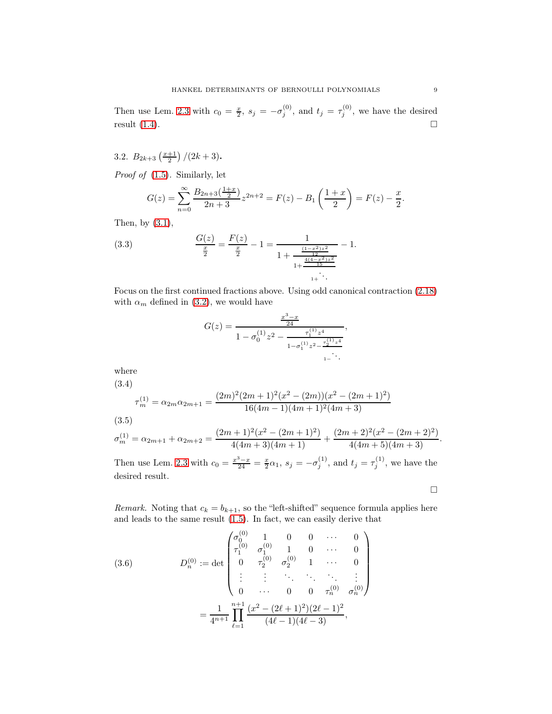Then use Lem. [2.3](#page-4-3) with  $c_0 = \frac{x}{2}$ ,  $s_j = -\sigma_j^{(0)}$ , and  $t_j = \tau_j^{(0)}$ , we have the desired result  $(1.4)$ .

3.2.  $B_{2k+3}\left(\frac{x+1}{2}\right)/(2k+3)$ .

Proof of [\(1.5\)](#page-1-5). Similarly, let

$$
G(z) = \sum_{n=0}^{\infty} \frac{B_{2n+3}\left(\frac{1+x}{2}\right)}{2n+3} z^{2n+2} = F(z) - B_1\left(\frac{1+x}{2}\right) = F(z) - \frac{x}{2}.
$$

Then, by [\(3.1\)](#page-7-0),

(3.3) 
$$
\frac{G(z)}{\frac{x}{2}} = \frac{F(z)}{\frac{x}{2}} - 1 = \frac{1}{1 + \frac{\frac{(1-x^2)z^2}{12}}{1 + \frac{\frac{4(4-x^2)z^2}{15}}{1 + \ddots}}} - 1.
$$

Focus on the first continued fractions above. Using odd canonical contraction [\(2.18\)](#page-5-2) with  $\alpha_m$  defined in [\(3.2\)](#page-7-1), we would have

$$
G(z) = \frac{\frac{x^3 - x}{24}}{1 - \sigma_0^{(1)} z^2 - \frac{\tau_1^{(1)} z^4}{1 - \sigma_1^{(1)} z^2 - \frac{\tau_2^{(1)} z^4}{1 - \ddots}}},
$$

where

<span id="page-8-0"></span>(3.4)

$$
\tau_m^{(1)} = \alpha_{2m}\alpha_{2m+1} = \frac{(2m)^2(2m+1)^2(x^2 - (2m))(x^2 - (2m+1)^2)}{16(4m-1)(4m+1)^2(4m+3)}
$$
\n(3.5)

<span id="page-8-1"></span>
$$
\sigma_m^{(1)}=\alpha_{2m+1}+\alpha_{2m+2}=\frac{(2m+1)^2(x^2-(2m+1)^2)}{4(4m+3)(4m+1)}+\frac{(2m+2)^2(x^2-(2m+2)^2)}{4(4m+5)(4m+3)}.
$$

Then use Lem. [2.3](#page-4-3) with  $c_0 = \frac{x^3 - x}{24} = \frac{x}{2}\alpha_1$ ,  $s_j = -\sigma_j^{(1)}$ , and  $t_j = \tau_j^{(1)}$ , we have the desired result.

 $\Box$ 

Remark. Noting that  $c_k = b_{k+1}$ , so the "left-shifted" sequence formula applies here and leads to the same result [\(1.5\)](#page-1-5). In fact, we can easily derive that

(3.6) 
$$
D_n^{(0)} := \det \begin{pmatrix} \sigma_0^{(0)} & 1 & 0 & 0 & \cdots & 0 \\ \tau_1^{(0)} & \sigma_1^{(0)} & 1 & 0 & \cdots & 0 \\ 0 & \tau_2^{(0)} & \sigma_2^{(0)} & 1 & \cdots & 0 \\ \vdots & \vdots & \ddots & \ddots & \ddots & \vdots \\ 0 & \cdots & 0 & 0 & \tau_n^{(0)} & \sigma_n^{(0)} \end{pmatrix}
$$

$$
= \frac{1}{4^{n+1}} \prod_{\ell=1}^{n+1} \frac{(x^2 - (2\ell+1)^2)(2\ell-1)^2}{(4\ell-1)(4\ell-3)},
$$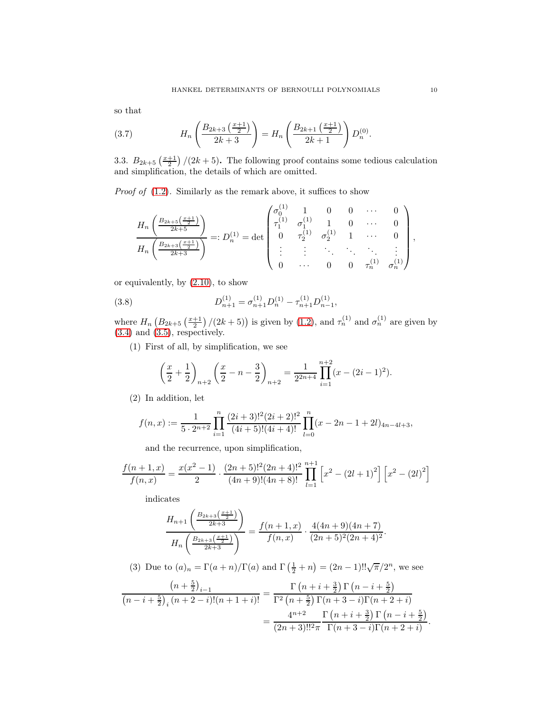so that

(3.7) 
$$
H_n\left(\frac{B_{2k+3}\left(\frac{x+1}{2}\right)}{2k+3}\right) = H_n\left(\frac{B_{2k+1}\left(\frac{x+1}{2}\right)}{2k+1}\right)D_n^{(0)}.
$$

3.3.  $B_{2k+5}\left(\frac{x+1}{2}\right)/(2k+5)$ . The following proof contains some tedious calculation and simplification, the details of which are omitted.

*Proof of*  $(1.2)$ . Similarly as the remark above, it suffices to show

$$
\frac{H_n\left(\frac{B_{2k+5}\left(\frac{x+1}{2}\right)}{2k+5}\right)}{H_n\left(\frac{B_{2k+3}\left(\frac{x+1}{2}\right)}{2k+3}\right)} =: D_n^{(1)} = \det\begin{pmatrix} \sigma_0^{(1)} & 1 & 0 & 0 & \cdots & 0 \\ \tau_1^{(1)} & \sigma_1^{(1)} & 1 & 0 & \cdots & 0 \\ 0 & \tau_2^{(1)} & \sigma_2^{(1)} & 1 & \cdots & 0 \\ \vdots & \vdots & \ddots & \ddots & \ddots & \vdots \\ 0 & \cdots & 0 & 0 & \tau_n^{(1)} & \sigma_n^{(1)} \end{pmatrix},
$$

or equivalently, by [\(2.10\)](#page-4-4), to show

(3.8) 
$$
D_{n+1}^{(1)} = \sigma_{n+1}^{(1)} D_n^{(1)} - \tau_{n+1}^{(1)} D_{n-1}^{(1)},
$$

where  $H_n\left(B_{2k+5}\left(\frac{x+1}{2}\right)/(2k+5)\right)$  is given by [\(1.2\)](#page-1-2), and  $\tau_n^{(1)}$  and  $\sigma_n^{(1)}$  are given by  $(3.4)$  and  $(3.5)$ , respectively.

(1) First of all, by simplification, we see

<span id="page-9-0"></span>
$$
\left(\frac{x}{2} + \frac{1}{2}\right)_{n+2} \left(\frac{x}{2} - n - \frac{3}{2}\right)_{n+2} = \frac{1}{2^{2n+4}} \prod_{i=1}^{n+2} (x - (2i - 1)^2).
$$

(2) In addition, let

$$
f(n,x) := \frac{1}{5 \cdot 2^{n+2}} \prod_{i=1}^{n} \frac{(2i+3)!^2 (2i+2)!^2}{(4i+5)!(4i+4)!} \prod_{l=0}^{n} (x - 2n - 1 + 2l)_{4n-4l+3},
$$

and the recurrence, upon simplification,

$$
\frac{f(n+1,x)}{f(n,x)} = \frac{x(x^2-1)}{2} \cdot \frac{(2n+5)!^2(2n+4)!^2}{(4n+9)!(4n+8)!} \prod_{l=1}^{n+1} \left[ x^2 - (2l+1)^2 \right] \left[ x^2 - (2l)^2 \right]
$$

indicates

$$
\frac{H_{n+1}\left(\frac{B_{2k+3}\left(\frac{x+1}{2}\right)}{2k+3}\right)}{H_n\left(\frac{B_{2k+3}\left(\frac{x+1}{2}\right)}{2k+3}\right)} = \frac{f(n+1,x)}{f(n,x)} \cdot \frac{4(4n+9)(4n+7)}{(2n+5)^2(2n+4)^2}.
$$

(3) Due to  $(a)_n = \Gamma(a+n)/\Gamma(a)$  and  $\Gamma(\frac{1}{2}+n) = (2n-1)!!\sqrt{\pi}/2^n$ , we see

$$
\frac{\left(n+\frac{5}{2}\right)_{i-1}}{\left(n-i+\frac{5}{2}\right)_{i}\left(n+2-i\right)!(n+1+i)!} = \frac{\Gamma\left(n+i+\frac{3}{2}\right)\Gamma\left(n-i+\frac{5}{2}\right)}{\Gamma^2\left(n+\frac{5}{2}\right)\Gamma(n+3-i)\Gamma(n+2+i)} = \frac{4^{n+2}}{(2n+3)!!^2\pi} \frac{\Gamma\left(n+i+\frac{3}{2}\right)\Gamma\left(n-i+\frac{5}{2}\right)}{\Gamma(n+3-i)\Gamma(n+2+i)}.
$$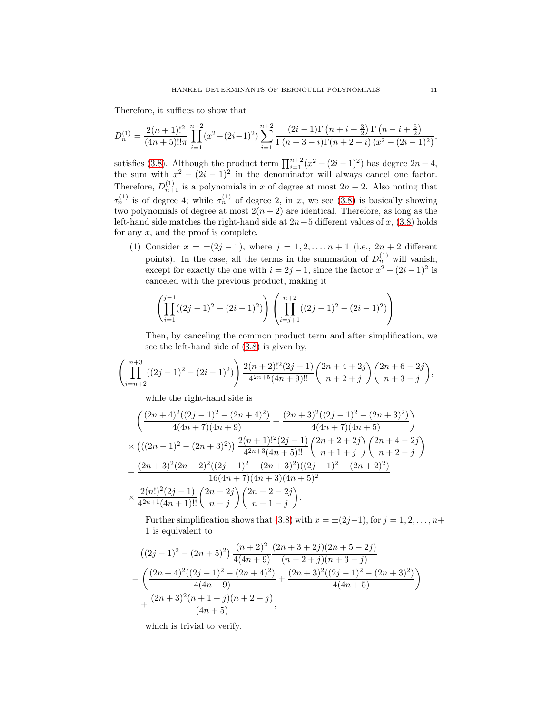Therefore, it suffices to show that

$$
D_n^{(1)} = \frac{2(n+1)!^2}{(4n+5)!!\pi} \prod_{i=1}^{n+2} (x^2 - (2i-1)^2) \sum_{i=1}^{n+2} \frac{(2i-1)\Gamma(n+i+\frac{3}{2})\Gamma(n-i+\frac{5}{2})}{\Gamma(n+3-i)\Gamma(n+2+i)(x^2-(2i-1)^2)},
$$

satisfies [\(3.8\)](#page-9-0). Although the product term  $\prod_{i=1}^{n+2} (x^2 - (2i - 1)^2)$  has degree  $2n + 4$ , the sum with  $x^2 - (2i - 1)^2$  in the denominator will always cancel one factor. Therefore,  $D_{n+1}^{(1)}$  is a polynomials in x of degree at most  $2n + 2$ . Also noting that  $\tau_n^{(1)}$  is of degree 4; while  $\sigma_n^{(1)}$  of degree 2, in x, we see [\(3.8\)](#page-9-0) is basically showing two polynomials of degree at most  $2(n+2)$  are identical. Therefore, as long as the left-hand side matches the right-hand side at  $2n+5$  different values of x, [\(3.8\)](#page-9-0) holds for any  $x$ , and the proof is complete.

(1) Consider  $x = \pm (2j - 1)$ , where  $j = 1, 2, ..., n + 1$  (i.e.,  $2n + 2$  different points). In the case, all the terms in the summation of  $D_n^{(1)}$  will vanish, except for exactly the one with  $i = 2j - 1$ , since the factor  $x^2 - (2i - 1)^2$  is canceled with the previous product, making it

$$
\left(\prod_{i=1}^{j-1}((2j-1)^2 - (2i-1)^2)\right)\left(\prod_{i=j+1}^{n+2}((2j-1)^2 - (2i-1)^2)\right)
$$

Then, by canceling the common product term and after simplification, we see the left-hand side of [\(3.8\)](#page-9-0) is given by,

$$
\left(\prod_{i=n+2}^{n+3} ((2j-1)^2 - (2i-1)^2)\right) \frac{2(n+2)!^2(2j-1)}{4^{2n+5}(4n+9)!!} {2n+4+2j \choose n+2+j} {2n+6-2j \choose n+3-j},
$$

while the right-hand side is

$$
\begin{split}\n&\left(\frac{(2n+4)^2((2j-1)^2-(2n+4)^2)}{4(4n+7)(4n+9)}+\frac{(2n+3)^2((2j-1)^2-(2n+3)^2)}{4(4n+7)(4n+5)}\right) \\
&\times \left(((2n-1)^2-(2n+3)^2)\right) \frac{2(n+1)!^2(2j-1)}{4^{2n+3}(4n+5)!!} \binom{2n+2+2j}{n+1+j} \binom{2n+4-2j}{n+2-j} \\
&-\frac{(2n+3)^2(2n+2)^2((2j-1)^2-(2n+3)^2)((2j-1)^2-(2n+2)^2)}{16(4n+7)(4n+3)(4n+5)^2} \\
&\times \frac{2(n!)^2(2j-1)}{4^{2n+1}(4n+1)!!} \binom{2n+2j}{n+j} \binom{2n+2-2j}{n+1-j}.\n\end{split}
$$

Further simplification shows that [\(3.8\)](#page-9-0) with  $x = \pm (2j-1)$ , for  $j = 1, 2, ..., n+1$ 1 is equivalent to

$$
((2j-1)^2 - (2n+5)^2) \frac{(n+2)^2 (2n+3+2j)(2n+5-2j)}{4(4n+9)} \frac{(n+2+j)(n+3-j)}{(n+2+j)(n+3-j)}
$$
  
= 
$$
\left(\frac{(2n+4)^2((2j-1)^2 - (2n+4)^2)}{4(4n+9)} + \frac{(2n+3)^2((2j-1)^2 - (2n+3)^2)}{4(4n+5)}\right)
$$
  
+ 
$$
\frac{(2n+3)^2(n+1+j)(n+2-j)}{(4n+5)},
$$

which is trivial to verify.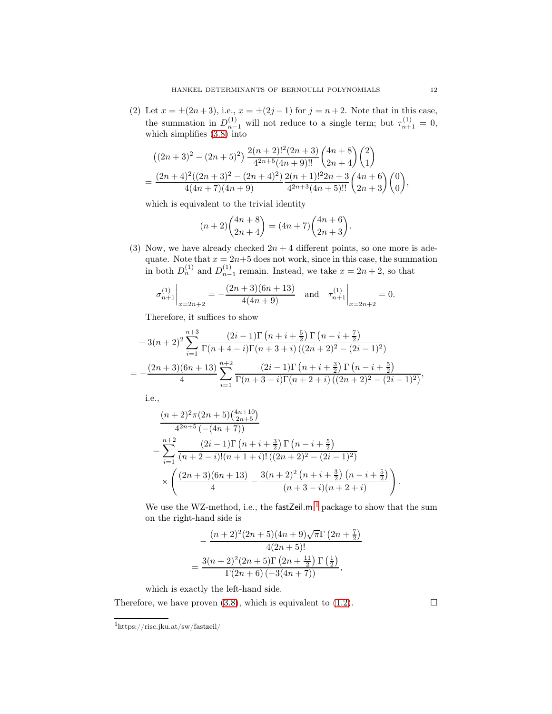(2) Let  $x = \pm (2n+3)$ , i.e.,  $x = \pm (2j-1)$  for  $j = n+2$ . Note that in this case, the summation in  $D_{n-1}^{(1)}$  will not reduce to a single term; but  $\tau_{n+1}^{(1)} = 0$ , which simplifies [\(3.8\)](#page-9-0) into

$$
((2n+3)^2 - (2n+5)^2) \frac{2(n+2)!^2 (2n+3)}{4^{2n+5} (4n+9)!!} {4n+8 \choose 2n+4} {2 \choose 1}
$$
  
= 
$$
\frac{(2n+4)^2 ((2n+3)^2 - (2n+4)^2) (2n+1)!^2 2n+3}{4(4n+7)(4n+9)} \frac{2(n+1)!^2 2n+3}{4^{2n+3} (4n+5)!!} {4n+6 \choose 2n+3} {0 \choose 0},
$$

which is equivalent to the trivial identity

$$
(n+2)\binom{4n+8}{2n+4} = (4n+7)\binom{4n+6}{2n+3}.
$$

(3) Now, we have already checked  $2n + 4$  different points, so one more is adequate. Note that  $x = 2n+5$  does not work, since in this case, the summation in both  $D_n^{(1)}$  and  $D_{n-1}^{(1)}$  remain. Instead, we take  $x = 2n + 2$ , so that

$$
\sigma_{n+1}^{(1)}\bigg|_{x=2n+2} = -\frac{(2n+3)(6n+13)}{4(4n+9)} \quad \text{and} \quad \tau_{n+1}^{(1)}\bigg|_{x=2n+2} = 0.
$$

Therefore, it suffices to show

$$
-3(n+2)^2 \sum_{i=1}^{n+3} \frac{(2i-1)\Gamma(n+i+\frac{5}{2})\Gamma(n-i+\frac{7}{2})}{\Gamma(n+4-i)\Gamma(n+3+i)\left((2n+2)^2-(2i-1)^2\right)}
$$
  
= 
$$
-\frac{(2n+3)(6n+13)}{4} \sum_{i=1}^{n+2} \frac{(2i-1)\Gamma(n+i+\frac{3}{2})\Gamma(n-i+\frac{5}{2})}{\Gamma(n+3-i)\Gamma(n+2+i)\left((2n+2)^2-(2i-1)^2\right)},
$$

i.e.,

$$
\frac{(n+2)^2 \pi (2n+5) {\binom{4n+10}{2n+5}}}{4^{2n+5} \left( -(4n+7) \right)}
$$
\n
$$
= \sum_{i=1}^{n+2} \frac{(2i-1) \Gamma (n+i+\frac{3}{2}) \Gamma (n-i+\frac{5}{2})}{(n+2-i)!(n+1+i)!\left( (2n+2)^2 - (2i-1)^2 \right)}
$$
\n
$$
\times \left( \frac{(2n+3)(6n+13)}{4} - \frac{3(n+2)^2 (n+i+\frac{3}{2}) (n-i+\frac{5}{2})}{(n+3-i)(n+2+i)} \right).
$$

We use the WZ-method, i.e., the fastZeil.m<sup>[1](#page-11-0)</sup> package to show that the sum on the right-hand side is

$$
-\frac{(n+2)^2(2n+5)(4n+9)\sqrt{\pi}\Gamma(2n+\frac{7}{2})}{4(2n+5)!}
$$
  
= 
$$
\frac{3(n+2)^2(2n+5)\Gamma(2n+\frac{11}{2})\Gamma(\frac{1}{2})}{\Gamma(2n+6)(-3(4n+7))},
$$

which is exactly the left-hand side.

Therefore, we have proven [\(3.8\)](#page-9-0), which is equivalent to [\(1.2\)](#page-1-2).  $\square$ 

<span id="page-11-0"></span><sup>1</sup>https://risc.jku.at/sw/fastzeil/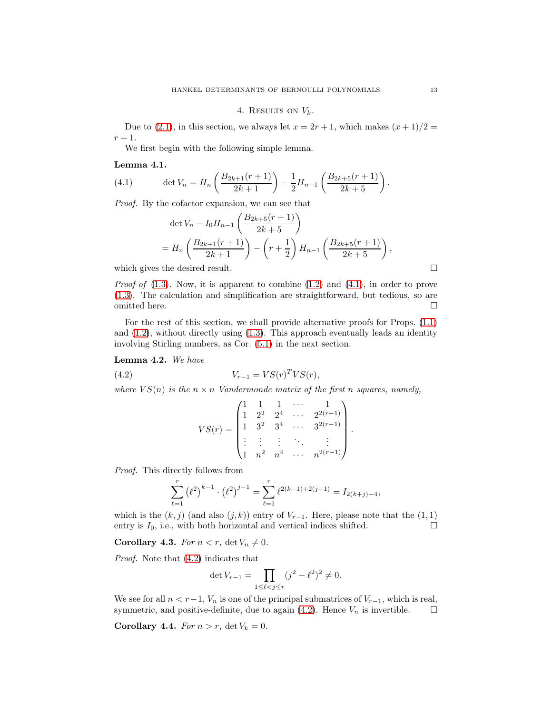#### 4. RESULTS ON  $V_k$ .

<span id="page-12-0"></span>Due to [\(2.1\)](#page-2-1), in this section, we always let  $x = 2r + 1$ , which makes  $(x + 1)/2 =$  $r+1$ .

We first begin with the following simple lemma.

#### Lemma 4.1.

(4.1) 
$$
\det V_n = H_n \left( \frac{B_{2k+1}(r+1)}{2k+1} \right) - \frac{1}{2} H_{n-1} \left( \frac{B_{2k+5}(r+1)}{2k+5} \right).
$$

Proof. By the cofactor expansion, we can see that

<span id="page-12-1"></span>
$$
\det V_n - I_0 H_{n-1} \left( \frac{B_{2k+5}(r+1)}{2k+5} \right)
$$
  
=  $H_n \left( \frac{B_{2k+1}(r+1)}{2k+1} \right) - \left( r + \frac{1}{2} \right) H_{n-1} \left( \frac{B_{2k+5}(r+1)}{2k+5} \right),$ 

which gives the desired result.  $\square$ 

*Proof of*  $(1.3)$ . Now, it is apparent to combine  $(1.2)$  and  $(4.1)$ , in order to prove [\(1.3\)](#page-1-3). The calculation and simplification are straightforward, but tedious, so are omitted here.  $\hfill \square$ 

For the rest of this section, we shall provide alternative proofs for Props. [\(1.1\)](#page-1-1) and  $(1.2)$ , without directly using  $(1.3)$ . This approach eventually leads an identity involving Stirling numbers, as Cor. [\(5.1\)](#page-15-0) in the next section.

Lemma 4.2. We have

$$
(4.2) \t\t V_{r-1} = VS(r)^T VS(r),
$$

where  $VS(n)$  is the  $n \times n$  Vandermonde matrix of the first n squares, namely,

<span id="page-12-2"></span>
$$
VS(r) = \begin{pmatrix} 1 & 1 & 1 & \cdots & 1 \\ 1 & 2^2 & 2^4 & \cdots & 2^{2(r-1)} \\ 1 & 3^2 & 3^4 & \cdots & 3^{2(r-1)} \\ \vdots & \vdots & \vdots & \ddots & \vdots \\ 1 & n^2 & n^4 & \cdots & n^{2(r-1)} \end{pmatrix}.
$$

Proof. This directly follows from

$$
\sum_{\ell=1}^r \left(\ell^2\right)^{k-1} \cdot \left(\ell^2\right)^{j-1} = \sum_{\ell=1}^r \ell^{2(k-1)+2(j-1)} = I_{2(k+j)-4},
$$

which is the  $(k, j)$  (and also  $(j, k)$ ) entry of  $V_{r-1}$ . Here, please note that the  $(1, 1)$ entry is  $I_0$ , i.e., with both horizontal and vertical indices shifted.

<span id="page-12-3"></span>Corollary 4.3. For  $n < r$ , det  $V_n \neq 0$ .

Proof. Note that [\(4.2\)](#page-12-2) indicates that

$$
\det V_{r-1} = \prod_{1 \le \ell < j \le r} (j^2 - \ell^2)^2 \ne 0.
$$

We see for all  $n < r-1$ ,  $V_n$  is one of the principal submatrices of  $V_{r-1}$ , which is real, symmetric, and positive-definite, due to again (4.2). Hence  $V_n$  is invertible.  $\Box$ symmetric, and positive-definite, due to again  $(4.2)$ . Hence  $V_n$  is invertible.

<span id="page-12-4"></span>Corollary 4.4. For  $n > r$ , det  $V_k = 0$ .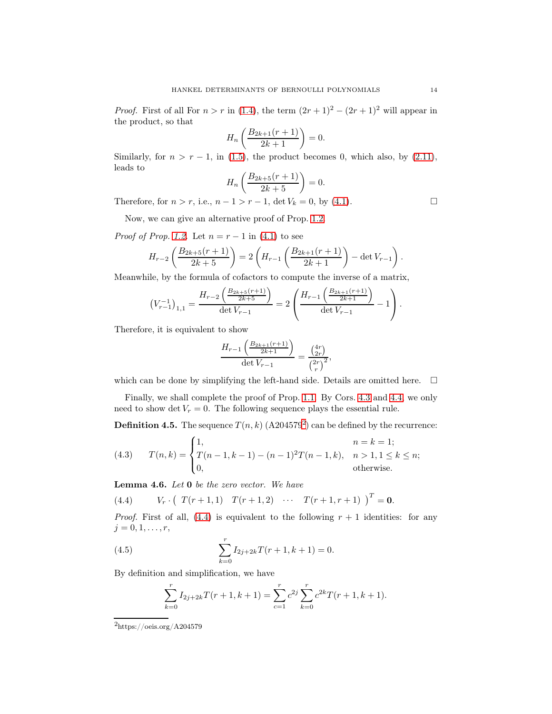*Proof.* First of all For  $n > r$  in [\(1.4\)](#page-1-4), the term  $(2r + 1)^2 - (2r + 1)^2$  will appear in the product, so that

$$
H_n\left(\frac{B_{2k+1}(r+1)}{2k+1}\right) = 0.
$$

Similarly, for  $n > r - 1$ , in [\(1.5\)](#page-1-5), the product becomes 0, which also, by [\(2.11\)](#page-4-5), leads to

$$
H_n\left(\frac{B_{2k+5}(r+1)}{2k+5}\right) = 0.
$$

Therefore, for  $n > r$ , i.e.,  $n - 1 > r - 1$ , det  $V_k = 0$ , by [\(4.1\)](#page-12-1).

Now, we can give an alternative proof of Prop. [1.2.](#page-1-0)

*Proof of Prop.* [1.2.](#page-1-0) Let  $n = r - 1$  in [\(4.1\)](#page-12-1) to see

$$
H_{r-2}\left(\frac{B_{2k+5}(r+1)}{2k+5}\right) = 2\left(H_{r-1}\left(\frac{B_{2k+1}(r+1)}{2k+1}\right) - \det V_{r-1}\right).
$$

Meanwhile, by the formula of cofactors to compute the inverse of a matrix,

$$
\left(V_{r-1}^{-1}\right)_{1,1} = \frac{H_{r-2}\left(\frac{B_{2k+5}(r+1)}{2k+5}\right)}{\det V_{r-1}} = 2\left(\frac{H_{r-1}\left(\frac{B_{2k+1}(r+1)}{2k+1}\right)}{\det V_{r-1}} - 1\right).
$$

Therefore, it is equivalent to show

$$
\frac{H_{r-1}\left(\frac{B_{2k+1}(r+1)}{2k+1}\right)}{\det V_{r-1}} = \frac{\binom{4r}{2r}}{\binom{2r}{r}^2}
$$

,

which can be done by simplifying the left-hand side. Details are omitted here.  $\Box$ 

Finally, we shall complete the proof of Prop. [1.1.](#page-1-1) By Cors. [4.3](#page-12-3) and [4.4,](#page-12-4) we only need to show det  $V_r = 0$ . The following sequence plays the essential rule.

**Definition 4.5.** The sequence  $T(n,k)$  (A[2](#page-13-0)04579<sup>2</sup>) can be defined by the recurrence:

<span id="page-13-3"></span>(4.3) 
$$
T(n,k) = \begin{cases} 1, & n = k = 1; \\ T(n-1,k-1) - (n-1)^2 T(n-1,k), & n > 1, 1 \le k \le n; \\ 0, & \text{otherwise.} \end{cases}
$$

<span id="page-13-4"></span>Lemma 4.6. Let 0 be the zero vector. We have

<span id="page-13-1"></span>(4.4) 
$$
V_r \cdot (T(r+1,1) T(r+1,2) \cdots T(r+1,r+1) )^T = 0.
$$

*Proof.* First of all, [\(4.4\)](#page-13-1) is equivalent to the following  $r + 1$  identities: for any  $j = 0, 1, \ldots, r$ ,

(4.5) 
$$
\sum_{k=0}^{r} I_{2j+2k}T(r+1, k+1) = 0.
$$

By definition and simplification, we have

<span id="page-13-2"></span>
$$
\sum_{k=0}^{r} I_{2j+2k}T(r+1, k+1) = \sum_{c=1}^{r} c^{2j} \sum_{k=0}^{r} c^{2k}T(r+1, k+1).
$$

<span id="page-13-0"></span> $^2$ https://oeis.org/A204579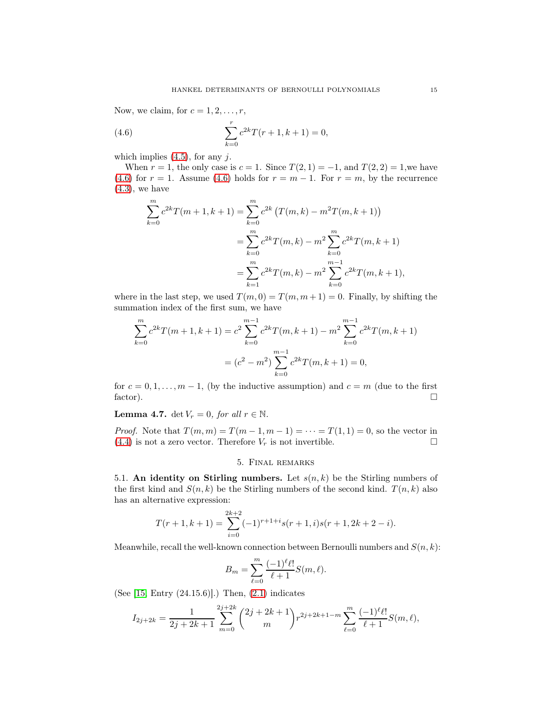Now, we claim, for  $c = 1, 2, \ldots, r$ ,

(4.6) 
$$
\sum_{k=0}^{r} c^{2k} T(r+1, k+1) = 0,
$$

which implies  $(4.5)$ , for any j.

When  $r = 1$ , the only case is  $c = 1$ . Since  $T(2, 1) = -1$ , and  $T(2, 2) = 1$ , we have [\(4.6\)](#page-14-1) for  $r = 1$ . Assume [\(4.6\)](#page-14-1) holds for  $r = m - 1$ . For  $r = m$ , by the recurrence  $(4.3)$ , we have

<span id="page-14-1"></span>
$$
\sum_{k=0}^{m} c^{2k} T(m+1, k+1) = \sum_{k=0}^{m} c^{2k} \left( T(m, k) - m^2 T(m, k+1) \right)
$$
  
= 
$$
\sum_{k=0}^{m} c^{2k} T(m, k) - m^2 \sum_{k=0}^{m} c^{2k} T(m, k+1)
$$
  
= 
$$
\sum_{k=1}^{m} c^{2k} T(m, k) - m^2 \sum_{k=0}^{m-1} c^{2k} T(m, k+1),
$$

where in the last step, we used  $T(m, 0) = T(m, m + 1) = 0$ . Finally, by shifting the summation index of the first sum, we have

$$
\sum_{k=0}^{m} c^{2k} T(m+1, k+1) = c^2 \sum_{k=0}^{m-1} c^{2k} T(m, k+1) - m^2 \sum_{k=0}^{m-1} c^{2k} T(m, k+1)
$$

$$
= (c^2 - m^2) \sum_{k=0}^{m-1} c^{2k} T(m, k+1) = 0,
$$

for  $c = 0, 1, ..., m - 1$ , (by the inductive assumption) and  $c = m$  (due to the first factor). factor).  $\Box$ 

**Lemma 4.7.** det  $V_r = 0$ , for all  $r \in \mathbb{N}$ .

<span id="page-14-0"></span>*Proof.* Note that  $T(m, m) = T(m - 1, m - 1) = \cdots = T(1, 1) = 0$ , so the vector in (4.4) is not a zero vector. Therefore  $V_r$  is not invertible.  $(4.4)$  is not a zero vector. Therefore  $V_r$  is not invertible.

## 5. Final remarks

5.1. An identity on Stirling numbers. Let  $s(n, k)$  be the Stirling numbers of the first kind and  $S(n, k)$  be the Stirling numbers of the second kind.  $T(n, k)$  also has an alternative expression:

$$
T(r+1,k+1) = \sum_{i=0}^{2k+2} (-1)^{r+1+i} s(r+1,i)s(r+1,2k+2-i).
$$

Meanwhile, recall the well-known connection between Bernoulli numbers and  $S(n, k)$ :

$$
B_m = \sum_{\ell=0}^m \frac{(-1)^{\ell} \ell!}{\ell+1} S(m,\ell).
$$

(See [\[15,](#page-17-4) Entry (24.15.6)].) Then, [\(2.1\)](#page-2-1) indicates

$$
I_{2j+2k} = \frac{1}{2j+2k+1} \sum_{m=0}^{2j+2k} {2j+2k+1 \choose m} r^{2j+2k+1-m} \sum_{\ell=0}^m \frac{(-1)^{\ell} \ell!}{\ell+1} S(m,\ell),
$$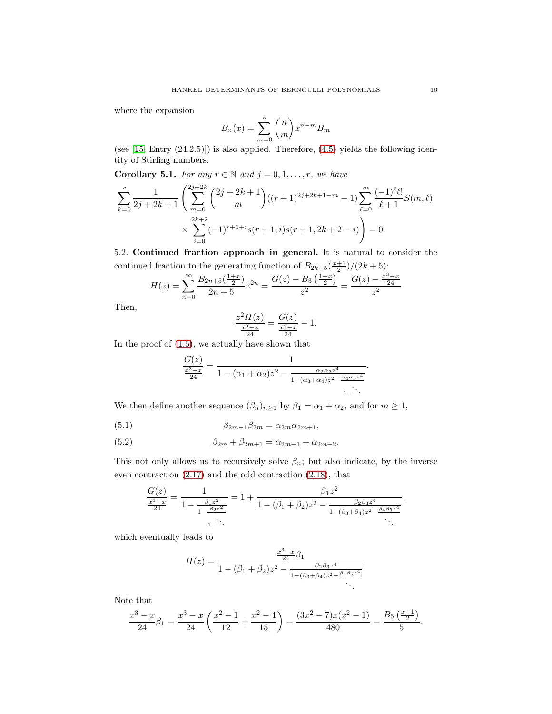where the expansion

$$
B_n(x) = \sum_{m=0}^{n} {n \choose m} x^{n-m} B_m
$$

(see  $[15, Entry (24.2.5)]$ ) is also applied. Therefore,  $(4.5)$  yields the following identity of Stirling numbers.

<span id="page-15-0"></span>Corollary 5.1. For any  $r \in \mathbb{N}$  and  $j = 0, 1, \ldots, r$ , we have

$$
\sum_{k=0}^{r} \frac{1}{2j+2k+1} \left( \sum_{m=0}^{2j+2k} {2j+2k+1 \choose m} \left( (r+1)^{2j+2k+1-m} - 1 \right) \sum_{\ell=0}^{m} \frac{(-1)^{\ell} \ell!}{\ell+1} S(m,\ell) \times \sum_{i=0}^{2k+2} (-1)^{r+1+i} s(r+1,i) s(r+1,2k+2-i) \right) = 0.
$$

5.2. Continued fraction approach in general. It is natural to consider the continued fraction to the generating function of  $B_{2k+5}(\frac{x+1}{2})/(2k+5)$ :

$$
H(z) = \sum_{n=0}^{\infty} \frac{B_{2n+5}\left(\frac{1+x}{2}\right)}{2n+5} z^{2n} = \frac{G(z) - B_3\left(\frac{1+x}{2}\right)}{z^2} = \frac{G(z) - \frac{x^3 - x}{24}}{z^2}
$$

Then,

$$
\frac{z^2H(z)}{\frac{x^3-x}{24}} = \frac{G(z)}{\frac{x^3-x}{24}} - 1.
$$

In the proof of [\(1.5\)](#page-1-5), we actually have shown that

$$
\frac{G(z)}{\frac{x^3 - x}{24}} = \frac{1}{1 - (\alpha_1 + \alpha_2)z^2 - \frac{\alpha_2 \alpha_3 z^4}{1 - (\alpha_3 + \alpha_4)z^2 - \frac{\alpha_4 \alpha_5 z^4}{1 - \ddots}}}
$$

We then define another sequence  $(\beta_n)_{n\geq 1}$  by  $\beta_1 = \alpha_1 + \alpha_2$ , and for  $m \geq 1$ ,

(5.1) 
$$
\beta_{2m-1}\beta_{2m} = \alpha_{2m}\alpha_{2m+1},
$$

(5.2) 
$$
\beta_{2m} + \beta_{2m+1} = \alpha_{2m+1} + \alpha_{2m+2}.
$$

This not only allows us to recursively solve  $\beta_n$ ; but also indicate, by the inverse even contraction [\(2.17\)](#page-5-0) and the odd contraction [\(2.18\)](#page-5-2), that

$$
\frac{G(z)}{\frac{x^3 - x}{24}} = \frac{1}{1 - \frac{\beta_1 z^2}{1 - \frac{\beta_2 z^2}{1 - \beta_2 z^2}}} = 1 + \frac{\beta_1 z^2}{1 - (\beta_1 + \beta_2)z^2 - \frac{\beta_2 \beta_3 z^4}{1 - (\beta_3 + \beta_4)z^2 - \frac{\beta_4 \beta_5 z^4}{1 - \beta_4 z^2}}},
$$

which eventually leads to

$$
H(z) = \frac{\frac{x^3 - x}{24}\beta_1}{1 - (\beta_1 + \beta_2)z^2 - \frac{\beta_2\beta_3z^4}{1 - (\beta_3 + \beta_4)z^2 - \frac{\beta_4\beta_5z^4}{1 - \beta_5}}}
$$

Note that

$$
\frac{x^3 - x}{24}\beta_1 = \frac{x^3 - x}{24} \left(\frac{x^2 - 1}{12} + \frac{x^2 - 4}{15}\right) = \frac{(3x^2 - 7)x(x^2 - 1)}{480} = \frac{B_5\left(\frac{x+1}{2}\right)}{5}.
$$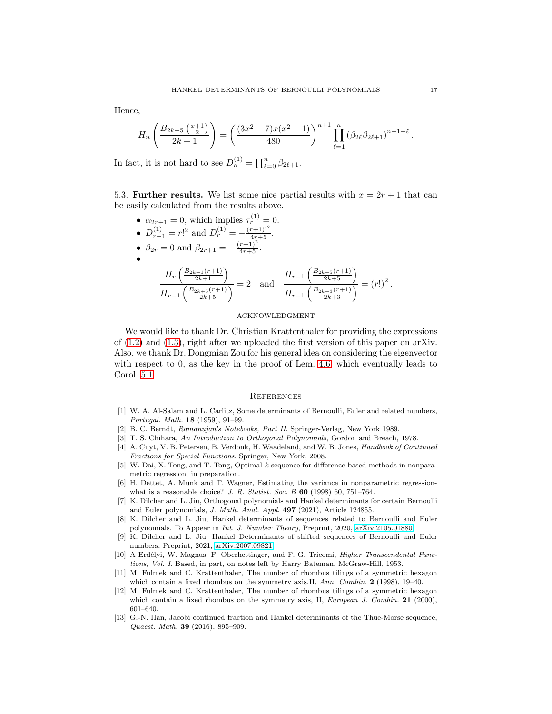Hence,

$$
H_n\left(\frac{B_{2k+5}\left(\frac{x+1}{2}\right)}{2k+1}\right) = \left(\frac{(3x^2-7)x(x^2-1)}{480}\right)^{n+1} \prod_{\ell=1}^n \left(\beta_{2\ell}\beta_{2\ell+1}\right)^{n+1-\ell}.
$$

In fact, it is not hard to see  $D_n^{(1)} = \prod_{\ell=0}^n \beta_{2\ell+1}$ .

5.3. Further results. We list some nice partial results with  $x = 2r + 1$  that can be easily calculated from the results above.

• 
$$
\alpha_{2r+1} = 0
$$
, which implies  $\tau_r^{(1)} = 0$ .  
\n•  $D_{r-1}^{(1)} = r!^2$  and  $D_r^{(1)} = -\frac{(r+1)!^2}{4r+5}$ .  
\n•  $\beta_{2r} = 0$  and  $\beta_{2r+1} = -\frac{(r+1)^2}{4r+5}$ .  
\n•  
\n
$$
\frac{H_r\left(\frac{B_{2k+1}(r+1)}{2k+1}\right)}{H_{r-1}\left(\frac{B_{2k+5}(r+1)}{2k+5}\right)} = 2
$$
 and 
$$
\frac{H_{r-1}\left(\frac{B_{2k+5}(r+1)}{2k+5}\right)}{H_{r-1}\left(\frac{B_{2k+3}(r+1)}{2k+3}\right)} = (r!)^2.
$$

#### acknowledgment

We would like to thank Dr. Christian Krattenthaler for providing the expressions of [\(1.2\)](#page-1-2) and [\(1.3\)](#page-1-3), right after we uploaded the first version of this paper on arXiv. Also, we thank Dr. Dongmian Zou for his general idea on considering the eigenvector with respect to 0, as the key in the proof of Lem. [4.6,](#page-13-4) which eventually leads to Corol. [5.1.](#page-15-0)

#### **REFERENCES**

- <span id="page-16-7"></span>[1] W. A. Al-Salam and L. Carlitz, Some determinants of Bernoulli, Euler and related numbers, Portugal. Math. 18 (1959), 91–99.
- <span id="page-16-12"></span><span id="page-16-8"></span>[2] B. C. Berndt, Ramanujan's Notebooks, Part II. Springer-Verlag, New York 1989.
- <span id="page-16-10"></span>[3] T. S. Chihara, An Introduction to Orthogonal Polynomials, Gordon and Breach, 1978.
- [4] A. Cuyt, V. B. Petersen, B. Verdonk, H. Waadeland, and W. B. Jones, Handbook of Continued Fractions for Special Functions. Springer, New York, 2008.
- <span id="page-16-0"></span>[5] W. Dai, X. Tong, and T. Tong, Optimal-k sequence for difference-based methods in nonparametric regression, in preparation.
- <span id="page-16-1"></span>[6] H. Dettet, A. Munk and T. Wagner, Estimating the variance in nonparametric regressionwhat is a reasonable choice? J. R. Statist. Soc. B  $60$  (1998) 60, 751-764.
- <span id="page-16-4"></span>[7] K. Dilcher and L. Jiu, Orthogonal polynomials and Hankel determinants for certain Bernoulli and Euler polynomials, J. Math. Anal. Appl. 497 (2021), Article 124855.
- <span id="page-16-5"></span>[8] K. Dilcher and L. Jiu, Hankel determinants of sequences related to Bernoulli and Euler polynomials. To Appear in Int. J. Number Theory, Preprint, 2020, [arXiv:2105.01880.](http://arxiv.org/abs/2105.01880)
- <span id="page-16-6"></span>[9] K. Dilcher and L. Jiu, Hankel Determinants of shifted sequences of Bernoulli and Euler numbers, Preprint, 2021, [arXiv:2007.09821](http://arxiv.org/abs/2007.09821)
- <span id="page-16-11"></span>[10] A Erdélyi, W. Magnus, F. Oberhettinger, and F. G. Tricomi, Higher Transcendental Functions, Vol. I. Based, in part, on notes left by Harry Bateman. McGraw-Hill, 1953.
- <span id="page-16-2"></span>[11] M. Fulmek and C. Krattenthaler, The number of rhombus tilings of a symmetric hexagon which contain a fixed rhombus on the symmetry axis, II, Ann. Combin. 2 (1998), 19-40.
- <span id="page-16-3"></span>[12] M. Fulmek and C. Krattenthaler, The number of rhombus tilings of a symmetric hexagon which contain a fixed rhombus on the symmetry axis, II, European J. Combin. 21 (2000), 601–640.
- <span id="page-16-9"></span>[13] G.-N. Han, Jacobi continued fraction and Hankel determinants of the Thue-Morse sequence, Quaest. Math. 39 (2016), 895–909.